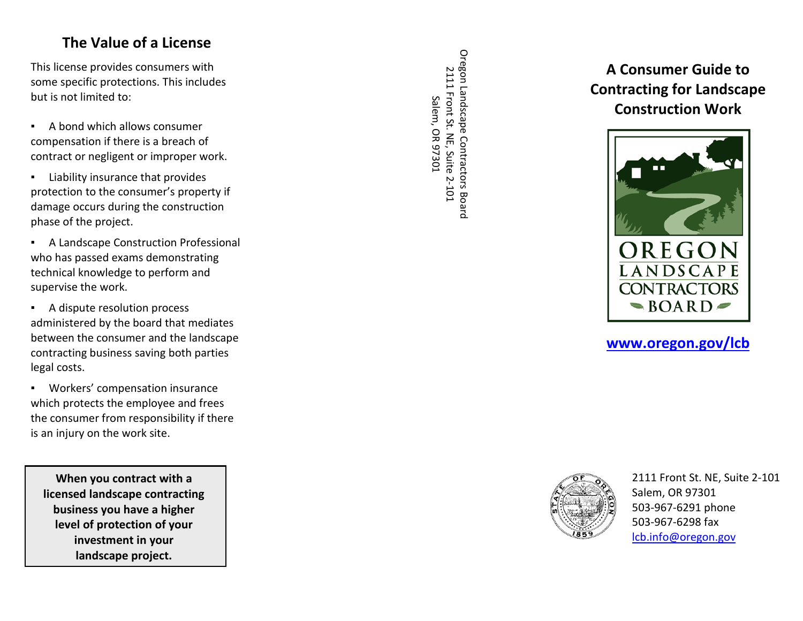### **The Value of a License**

This license provides consumers with some specific protections. This includes but is not limited to:

- A bond which allows consumer compensation if there is a breach of contract or negligent or improper work.
- Liability insurance that provides protection to the consumer's property if damage occurs during the construction phase of the project.
- A Landscape Construction Professional who has passed exam s demonstrating technical knowledge to perform and supervise the work.
- A dispute resolution process administered by the board that mediates between the consumer and the landscape contracting business saving both parties legal costs .
- Workers' compensation insurance which protects the employee and frees the consumer from responsibility if there is an injury on the work site.

**When you contract with a licensed landscape contracting business you have a higher level of protection of your investment in your landscape project.**

Oregon Landscape Contractors Boarc Oregon Landscape Contractors Board 2111 Front St. NE, Suite 2-101 2111 Front St. NE, Suite 2-101 Salem, OR 97301 Salem, OR 97301

# **A Consumer Guide to Contracting for Landscape Construction Work**



### **[www.oregon.gov/lcb](http://www.oregon.gov/lcb)**



2111 Front St. NE, Suite 2 -101 Salem, OR 97301 503 -967 -6291 phone 503 -967 -6298 fax [lcb.info@oregon.gov](mailto:lcb.info@oregon.gov)